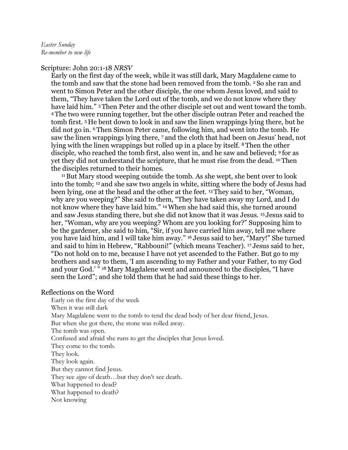## Scripture: John 20:1-18 *NRSV*

Early on the first day of the week, while it was still dark, Mary Magdalene came to the tomb and saw that the stone had been removed from the tomb. 2 So she ran and went to Simon Peter and the other disciple, the one whom Jesus loved, and said to them, "They have taken the Lord out of the tomb, and we do not know where they have laid him." 3 Then Peter and the other disciple set out and went toward the tomb. <sup>4</sup>The two were running together, but the other disciple outran Peter and reached the tomb first. 5 He bent down to look in and saw the linen wrappings lying there, but he did not go in. 6 Then Simon Peter came, following him, and went into the tomb. He saw the linen wrappings lying there, 7 and the cloth that had been on Jesus' head, not lying with the linen wrappings but rolled up in a place by itself. 8 Then the other disciple, who reached the tomb first, also went in, and he saw and believed; 9 for as yet they did not understand the scripture, that he must rise from the dead. 10 Then the disciples returned to their homes.

<sup>11</sup>But Mary stood weeping outside the tomb. As she wept, she bent over to look into the tomb; 12 and she saw two angels in white, sitting where the body of Jesus had been lying, one at the head and the other at the feet. 13 They said to her, "Woman, why are you weeping?" She said to them, "They have taken away my Lord, and I do not know where they have laid him." 14 When she had said this, she turned around and saw Jesus standing there, but she did not know that it was Jesus. 15 Jesus said to her, "Woman, why are you weeping? Whom are you looking for?" Supposing him to be the gardener, she said to him, "Sir, if you have carried him away, tell me where you have laid him, and I will take him away." 16 Jesus said to her, "Mary!" She turned and said to him in Hebrew, "Rabbouni!" (which means Teacher). 17 Jesus said to her, "Do not hold on to me, because I have not yet ascended to the Father. But go to my brothers and say to them, 'I am ascending to my Father and your Father, to my God and your God.' " 18 Mary Magdalene went and announced to the disciples, "I have seen the Lord"; and she told them that he had said these things to her.

## Reflections on the Word

Early on the first day of the week When it was still dark Mary Magdalene went to the tomb to tend the dead body of her dear friend, Jesus. But when she got there, the stone was rolled away. The tomb was open. Confused and afraid she runs to get the disciples that Jesus loved. They come to the tomb. They look. They look again. But they cannot find Jesus. They see *signs* of death…but they don't see death. What happened to dead? What happened to death? Not knowing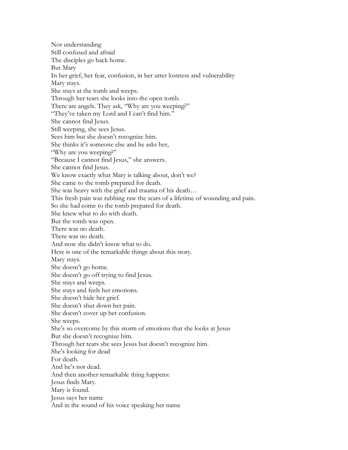Not understanding Still confused and afraid The disciples go back home. But Mary In her grief, her fear, confusion, in her utter lostness and vulnerability Mary stays. She stays at the tomb and weeps. Through her tears she looks into the open tomb. There are angels. They ask, "Why are you weeping?" "They've taken my Lord and I can't find him." She cannot find Jesus. Still weeping, she sees Jesus. Sees him but she doesn't recognize him. She thinks it's someone else and he asks her, "Why are you weeping?" "Because I cannot find Jesus," she answers. She cannot find Jesus. We know exactly what Mary is talking about, don't we? She came to the tomb prepared for death. She was heavy with the grief and trauma of his death… This fresh pain was rubbing raw the scars of a lifetime of wounding and pain. So she had come to the tomb prepared for death. She knew what to do with death. But the tomb was open. There was no death. There was no death. And now she didn't know what to do. Here is one of the remarkable things about this story. Mary stays. She doesn't go home. She doesn't go off trying to find Jesus. She stays and weeps. She stays and feels her emotions. She doesn't hide her grief. She doesn't shut down her pain. She doesn't cover up her confusion. She weeps. She's so overcome by this storm of emotions that she looks at Jesus But she doesn't recognize him. Through her tears she sees Jesus but doesn't recognize him. She's looking for dead For death. And he's not dead. And then another remarkable thing happens: Jesus finds Mary. Mary is found. Jesus says her name And in the sound of his voice speaking her name